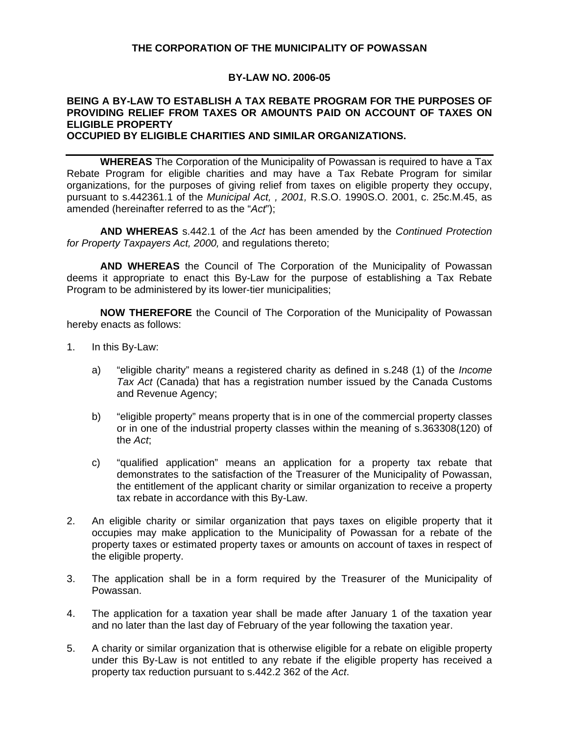## **THE CORPORATION OF THE MUNICIPALITY OF POWASSAN**

#### **BY-LAW NO. 2006-05**

# **BEING A BY-LAW TO ESTABLISH A TAX REBATE PROGRAM FOR THE PURPOSES OF PROVIDING RELIEF FROM TAXES OR AMOUNTS PAID ON ACCOUNT OF TAXES ON ELIGIBLE PROPERTY**

#### **OCCUPIED BY ELIGIBLE CHARITIES AND SIMILAR ORGANIZATIONS.**

**WHEREAS** The Corporation of the Municipality of Powassan is required to have a Tax Rebate Program for eligible charities and may have a Tax Rebate Program for similar organizations, for the purposes of giving relief from taxes on eligible property they occupy, pursuant to s.442361.1 of the *Municipal Act, , 2001,* R.S.O. 1990S.O. 2001, c. 25c.M.45, as amended (hereinafter referred to as the "*Act*");

**AND WHEREAS** s.442.1 of the *Act* has been amended by the *Continued Protection for Property Taxpayers Act, 2000,* and regulations thereto;

**AND WHEREAS** the Council of The Corporation of the Municipality of Powassan deems it appropriate to enact this By-Law for the purpose of establishing a Tax Rebate Program to be administered by its lower-tier municipalities;

**NOW THEREFORE** the Council of The Corporation of the Municipality of Powassan hereby enacts as follows:

- 1. In this By-Law:
	- a) "eligible charity" means a registered charity as defined in s.248 (1) of the *Income Tax Act* (Canada) that has a registration number issued by the Canada Customs and Revenue Agency;
	- b) "eligible property" means property that is in one of the commercial property classes or in one of the industrial property classes within the meaning of s.363308(120) of the *Act*;
	- c) "qualified application" means an application for a property tax rebate that demonstrates to the satisfaction of the Treasurer of the Municipality of Powassan, the entitlement of the applicant charity or similar organization to receive a property tax rebate in accordance with this By-Law.
- 2. An eligible charity or similar organization that pays taxes on eligible property that it occupies may make application to the Municipality of Powassan for a rebate of the property taxes or estimated property taxes or amounts on account of taxes in respect of the eligible property.
- 3. The application shall be in a form required by the Treasurer of the Municipality of Powassan.
- 4. The application for a taxation year shall be made after January 1 of the taxation year and no later than the last day of February of the year following the taxation year.
- 5. A charity or similar organization that is otherwise eligible for a rebate on eligible property under this By-Law is not entitled to any rebate if the eligible property has received a property tax reduction pursuant to s.442.2 362 of the *Act*.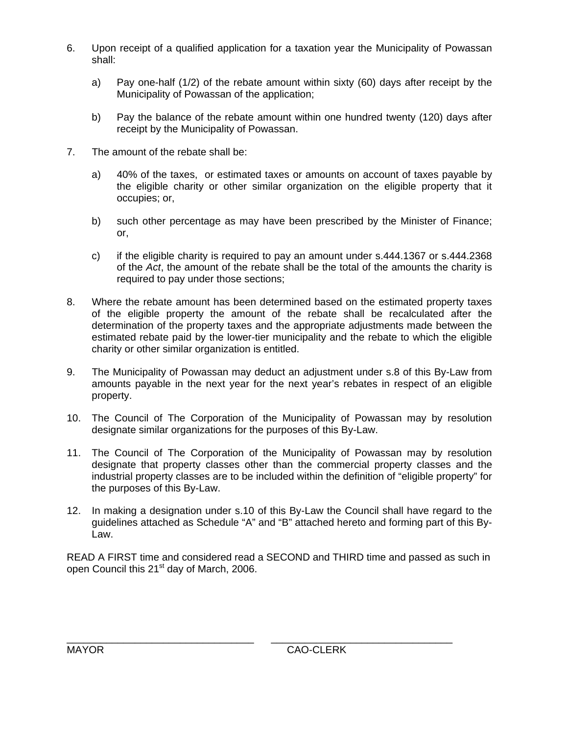- 6. Upon receipt of a qualified application for a taxation year the Municipality of Powassan shall:
	- a) Pay one-half (1/2) of the rebate amount within sixty (60) days after receipt by the Municipality of Powassan of the application;
	- b) Pay the balance of the rebate amount within one hundred twenty (120) days after receipt by the Municipality of Powassan.
- 7. The amount of the rebate shall be:
	- a) 40% of the taxes, or estimated taxes or amounts on account of taxes payable by the eligible charity or other similar organization on the eligible property that it occupies; or,
	- b) such other percentage as may have been prescribed by the Minister of Finance; or,
	- c) if the eligible charity is required to pay an amount under s.444.1367 or s.444.2368 of the *Act*, the amount of the rebate shall be the total of the amounts the charity is required to pay under those sections;
- 8. Where the rebate amount has been determined based on the estimated property taxes of the eligible property the amount of the rebate shall be recalculated after the determination of the property taxes and the appropriate adjustments made between the estimated rebate paid by the lower-tier municipality and the rebate to which the eligible charity or other similar organization is entitled.
- 9. The Municipality of Powassan may deduct an adjustment under s.8 of this By-Law from amounts payable in the next year for the next year's rebates in respect of an eligible property.
- 10. The Council of The Corporation of the Municipality of Powassan may by resolution designate similar organizations for the purposes of this By-Law.
- 11. The Council of The Corporation of the Municipality of Powassan may by resolution designate that property classes other than the commercial property classes and the industrial property classes are to be included within the definition of "eligible property" for the purposes of this By-Law.
- 12. In making a designation under s.10 of this By-Law the Council shall have regard to the guidelines attached as Schedule "A" and "B" attached hereto and forming part of this By-Law.

READ A FIRST time and considered read a SECOND and THIRD time and passed as such in open Council this 21<sup>st</sup> day of March, 2006.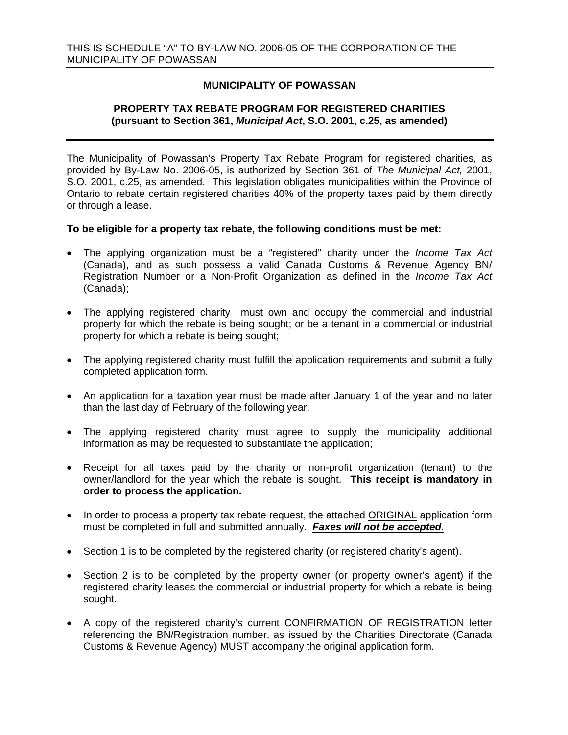## **MUNICIPALITY OF POWASSAN**

## **PROPERTY TAX REBATE PROGRAM FOR REGISTERED CHARITIES (pursuant to Section 361,** *Municipal Act***, S.O. 2001, c.25, as amended)**

The Municipality of Powassan's Property Tax Rebate Program for registered charities, as provided by By-Law No. 2006-05, is authorized by Section 361 of *The Municipal Act,* 2001, S.O. 2001, c.25, as amended. This legislation obligates municipalities within the Province of Ontario to rebate certain registered charities 40% of the property taxes paid by them directly or through a lease.

#### **To be eligible for a property tax rebate, the following conditions must be met:**

- The applying organization must be a "registered" charity under the *Income Tax Act* (Canada), and as such possess a valid Canada Customs & Revenue Agency BN/ Registration Number or a Non-Profit Organization as defined in the *Income Tax Act* (Canada);
- The applying registered charity must own and occupy the commercial and industrial property for which the rebate is being sought; or be a tenant in a commercial or industrial property for which a rebate is being sought;
- The applying registered charity must fulfill the application requirements and submit a fully completed application form.
- An application for a taxation year must be made after January 1 of the year and no later than the last day of February of the following year.
- The applying registered charity must agree to supply the municipality additional information as may be requested to substantiate the application;
- Receipt for all taxes paid by the charity or non-profit organization (tenant) to the owner/landlord for the year which the rebate is sought. **This receipt is mandatory in order to process the application.**
- In order to process a property tax rebate request, the attached ORIGINAL application form must be completed in full and submitted annually. *Faxes will not be accepted.*
- Section 1 is to be completed by the registered charity (or registered charity's agent).
- Section 2 is to be completed by the property owner (or property owner's agent) if the registered charity leases the commercial or industrial property for which a rebate is being sought.
- A copy of the registered charity's current CONFIRMATION OF REGISTRATION letter referencing the BN/Registration number, as issued by the Charities Directorate (Canada Customs & Revenue Agency) MUST accompany the original application form.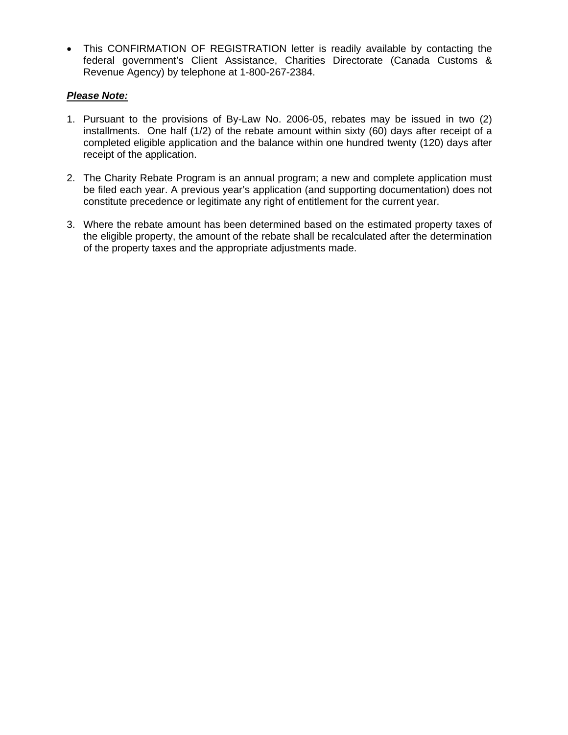• This CONFIRMATION OF REGISTRATION letter is readily available by contacting the federal government's Client Assistance, Charities Directorate (Canada Customs & Revenue Agency) by telephone at 1-800-267-2384.

# *Please Note:*

- 1. Pursuant to the provisions of By-Law No. 2006-05, rebates may be issued in two (2) installments. One half (1/2) of the rebate amount within sixty (60) days after receipt of a completed eligible application and the balance within one hundred twenty (120) days after receipt of the application.
- 2. The Charity Rebate Program is an annual program; a new and complete application must be filed each year. A previous year's application (and supporting documentation) does not constitute precedence or legitimate any right of entitlement for the current year.
- 3. Where the rebate amount has been determined based on the estimated property taxes of the eligible property, the amount of the rebate shall be recalculated after the determination of the property taxes and the appropriate adjustments made.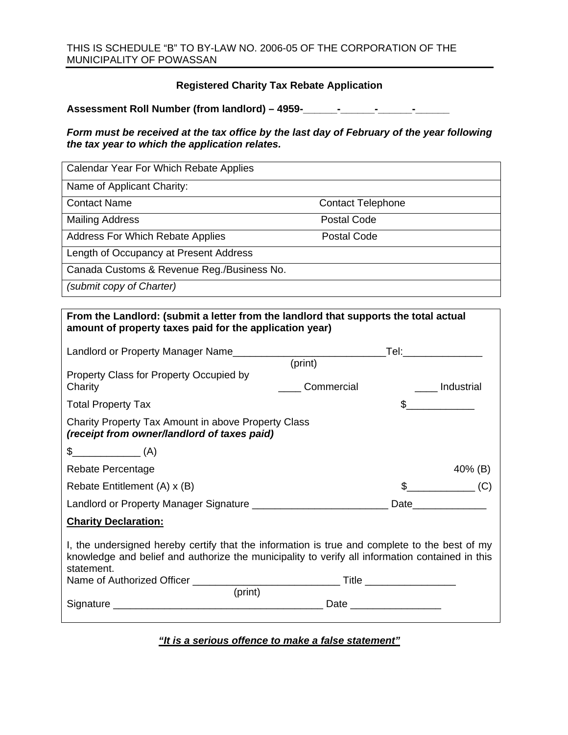# **Registered Charity Tax Rebate Application**

**Assessment Roll Number (from landlord) – 4959-\_\_\_\_\_\_-\_\_\_\_\_\_-\_\_\_\_\_\_-\_\_\_\_\_\_** 

## *Form must be received at the tax office by the last day of February of the year following the tax year to which the application relates.*

| Calendar Year For Which Rebate Applies     |                          |
|--------------------------------------------|--------------------------|
| Name of Applicant Charity:                 |                          |
| <b>Contact Name</b>                        | <b>Contact Telephone</b> |
| <b>Mailing Address</b>                     | <b>Postal Code</b>       |
| <b>Address For Which Rebate Applies</b>    | <b>Postal Code</b>       |
| Length of Occupancy at Present Address     |                          |
| Canada Customs & Revenue Reg./Business No. |                          |
| (submit copy of Charter)                   |                          |

| From the Landlord: (submit a letter from the landlord that supports the total actual<br>amount of property taxes paid for the application year)                                                                           |            |                                                                                                                 |  |
|---------------------------------------------------------------------------------------------------------------------------------------------------------------------------------------------------------------------------|------------|-----------------------------------------------------------------------------------------------------------------|--|
|                                                                                                                                                                                                                           |            |                                                                                                                 |  |
|                                                                                                                                                                                                                           | (print)    |                                                                                                                 |  |
| Property Class for Property Occupied by<br>Charity                                                                                                                                                                        | Commercial | ____ Industrial                                                                                                 |  |
| <b>Total Property Tax</b>                                                                                                                                                                                                 |            | $\frac{1}{2}$                                                                                                   |  |
| Charity Property Tax Amount in above Property Class<br>(receipt from owner/landlord of taxes paid)                                                                                                                        |            |                                                                                                                 |  |
| $\frac{1}{2}$ (A)                                                                                                                                                                                                         |            |                                                                                                                 |  |
| Rebate Percentage                                                                                                                                                                                                         |            | 40% (B)                                                                                                         |  |
| Rebate Entitlement (A) x (B)                                                                                                                                                                                              |            | $\text{\$}$ (C)                                                                                                 |  |
|                                                                                                                                                                                                                           |            | Date and the state of the state of the state of the state of the state of the state of the state of the state o |  |
| <b>Charity Declaration:</b>                                                                                                                                                                                               |            |                                                                                                                 |  |
| I, the undersigned hereby certify that the information is true and complete to the best of my<br>knowledge and belief and authorize the municipality to verify all information contained in this<br>statement.<br>(print) |            |                                                                                                                 |  |

*"It is a serious offence to make a false statement"*